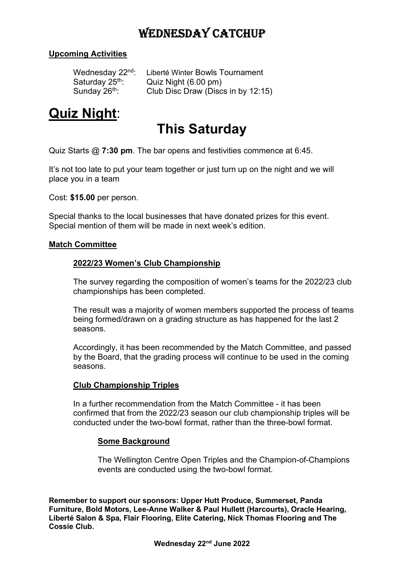### WEDNESDAY CATCHUP

### Upcoming Activities

Wednesday 22<sup>nd</sup>: Liberté Winter Bowls Tournament Saturday  $25<sup>th</sup>$ : Quiz Night (6.00 pm) Sunday 26<sup>th</sup>: Club Disc Draw (Discs in by 12:15)

# Quiz Night:

## This Saturday

Quiz Starts @ 7:30 pm. The bar opens and festivities commence at 6:45.

It's not too late to put your team together or just turn up on the night and we will place you in a team

Cost: \$15.00 per person.

Special thanks to the local businesses that have donated prizes for this event. Special mention of them will be made in next week's edition.

#### Match Committee

#### 2022/23 Women's Club Championship

The survey regarding the composition of women's teams for the 2022/23 club championships has been completed.

The result was a majority of women members supported the process of teams being formed/drawn on a grading structure as has happened for the last 2 seasons.

Accordingly, it has been recommended by the Match Committee, and passed by the Board, that the grading process will continue to be used in the coming seasons.

#### Club Championship Triples

In a further recommendation from the Match Committee - it has been confirmed that from the 2022/23 season our club championship triples will be conducted under the two-bowl format, rather than the three-bowl format.

#### Some Background

The Wellington Centre Open Triples and the Champion-of-Champions events are conducted using the two-bowl format.

Remember to support our sponsors: Upper Hutt Produce, Summerset, Panda Furniture, Bold Motors, Lee-Anne Walker & Paul Hullett (Harcourts), Oracle Hearing, Liberté Salon & Spa, Flair Flooring, Elite Catering, Nick Thomas Flooring and The Cossie Club.